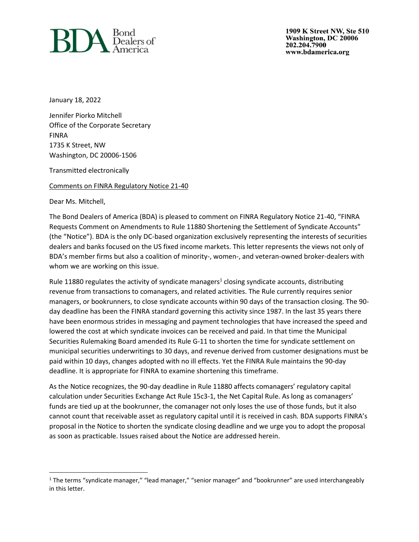

1909 K Street NW, Ste 510 Washington, DC 20006 202.204.7900 www.bdamerica.org

January 18, 2022

Jennifer Piorko Mitchell Office of the Corporate Secretary FINRA 1735 K Street, NW Washington, DC 20006-1506

Transmitted electronically

Comments on FINRA Regulatory Notice 21-40

Dear Ms. Mitchell,

The Bond Dealers of America (BDA) is pleased to comment on FINRA Regulatory Notice 21-40, "FINRA Requests Comment on Amendments to Rule 11880 Shortening the Settlement of Syndicate Accounts" (the "Notice"). BDA is the only DC-based organization exclusively representing the interests of securities dealers and banks focused on the US fixed income markets. This letter represents the views not only of BDA's member firms but also a coalition of minority-, women-, and veteran-owned broker-dealers with whom we are working on this issue.

Rule 11880 regulates the activity of syndicate managers<sup>1</sup> closing syndicate accounts, distributing revenue from transactions to comanagers, and related activities. The Rule currently requires senior managers, or bookrunners, to close syndicate accounts within 90 days of the transaction closing. The 90 day deadline has been the FINRA standard governing this activity since 1987. In the last 35 years there have been enormous strides in messaging and payment technologies that have increased the speed and lowered the cost at which syndicate invoices can be received and paid. In that time the Municipal Securities Rulemaking Board amended its Rule G-11 to shorten the time for syndicate settlement on municipal securities underwritings to 30 days, and revenue derived from customer designations must be paid within 10 days, changes adopted with no ill effects. Yet the FINRA Rule maintains the 90-day deadline. It is appropriate for FINRA to examine shortening this timeframe.

As the Notice recognizes, the 90-day deadline in Rule 11880 affects comanagers' regulatory capital calculation under Securities Exchange Act Rule 15c3-1, the Net Capital Rule. As long as comanagers' funds are tied up at the bookrunner, the comanager not only loses the use of those funds, but it also cannot count that receivable asset as regulatory capital until it is received in cash. BDA supports FINRA's proposal in the Notice to shorten the syndicate closing deadline and we urge you to adopt the proposal as soon as practicable. Issues raised about the Notice are addressed herein.

 $1$  The terms "syndicate manager," "lead manager," "senior manager" and "bookrunner" are used interchangeably in this letter.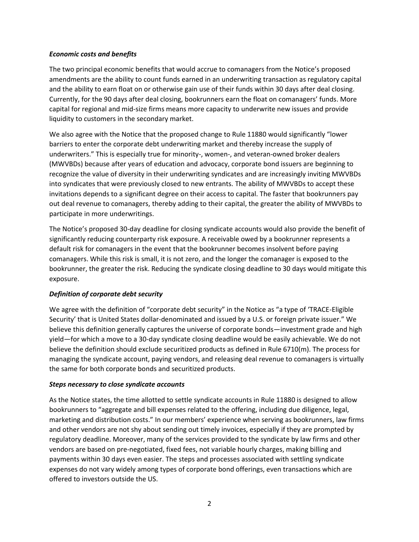### *Economic costs and benefits*

The two principal economic benefits that would accrue to comanagers from the Notice's proposed amendments are the ability to count funds earned in an underwriting transaction as regulatory capital and the ability to earn float on or otherwise gain use of their funds within 30 days after deal closing. Currently, for the 90 days after deal closing, bookrunners earn the float on comanagers' funds. More capital for regional and mid-size firms means more capacity to underwrite new issues and provide liquidity to customers in the secondary market.

We also agree with the Notice that the proposed change to Rule 11880 would significantly "lower barriers to enter the corporate debt underwriting market and thereby increase the supply of underwriters." This is especially true for minority-, women-, and veteran-owned broker dealers (MWVBDs) because after years of education and advocacy, corporate bond issuers are beginning to recognize the value of diversity in their underwriting syndicates and are increasingly inviting MWVBDs into syndicates that were previously closed to new entrants. The ability of MWVBDs to accept these invitations depends to a significant degree on their access to capital. The faster that bookrunners pay out deal revenue to comanagers, thereby adding to their capital, the greater the ability of MWVBDs to participate in more underwritings.

The Notice's proposed 30-day deadline for closing syndicate accounts would also provide the benefit of significantly reducing counterparty risk exposure. A receivable owed by a bookrunner represents a default risk for comanagers in the event that the bookrunner becomes insolvent before paying comanagers. While this risk is small, it is not zero, and the longer the comanager is exposed to the bookrunner, the greater the risk. Reducing the syndicate closing deadline to 30 days would mitigate this exposure.

# *Definition of corporate debt security*

We agree with the definition of "corporate debt security" in the Notice as "a type of 'TRACE-Eligible Security' that is United States dollar-denominated and issued by a U.S. or foreign private issuer." We believe this definition generally captures the universe of corporate bonds—investment grade and high yield—for which a move to a 30-day syndicate closing deadline would be easily achievable. We do not believe the definition should exclude securitized products as defined in Rule 6710(m). The process for managing the syndicate account, paying vendors, and releasing deal revenue to comanagers is virtually the same for both corporate bonds and securitized products.

# *Steps necessary to close syndicate accounts*

As the Notice states, the time allotted to settle syndicate accounts in Rule 11880 is designed to allow bookrunners to "aggregate and bill expenses related to the offering, including due diligence, legal, marketing and distribution costs." In our members' experience when serving as bookrunners, law firms and other vendors are not shy about sending out timely invoices, especially if they are prompted by regulatory deadline. Moreover, many of the services provided to the syndicate by law firms and other vendors are based on pre-negotiated, fixed fees, not variable hourly charges, making billing and payments within 30 days even easier. The steps and processes associated with settling syndicate expenses do not vary widely among types of corporate bond offerings, even transactions which are offered to investors outside the US.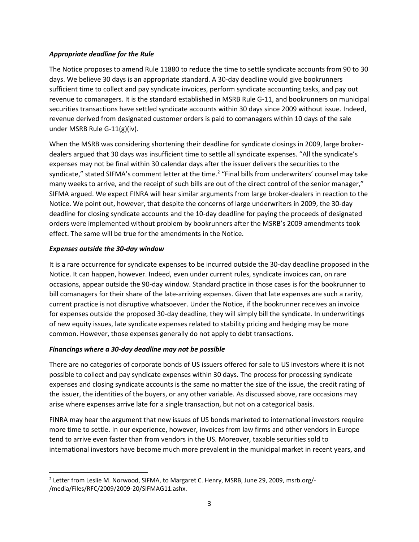## *Appropriate deadline for the Rule*

The Notice proposes to amend Rule 11880 to reduce the time to settle syndicate accounts from 90 to 30 days. We believe 30 days is an appropriate standard. A 30-day deadline would give bookrunners sufficient time to collect and pay syndicate invoices, perform syndicate accounting tasks, and pay out revenue to comanagers. It is the standard established in MSRB Rule G-11, and bookrunners on municipal securities transactions have settled syndicate accounts within 30 days since 2009 without issue. Indeed, revenue derived from designated customer orders is paid to comanagers within 10 days of the sale under MSRB Rule G-11(g)(iv).

When the MSRB was considering shortening their deadline for syndicate closings in 2009, large brokerdealers argued that 30 days was insufficient time to settle all syndicate expenses. "All the syndicate's expenses may not be final within 30 calendar days after the issuer delivers the securities to the syndicate," stated SIFMA's comment letter at the time.<sup>2</sup> "Final bills from underwriters' counsel may take many weeks to arrive, and the receipt of such bills are out of the direct control of the senior manager," SIFMA argued. We expect FINRA will hear similar arguments from large broker-dealers in reaction to the Notice. We point out, however, that despite the concerns of large underwriters in 2009, the 30-day deadline for closing syndicate accounts and the 10-day deadline for paying the proceeds of designated orders were implemented without problem by bookrunners after the MSRB's 2009 amendments took effect. The same will be true for the amendments in the Notice.

## *Expenses outside the 30-day window*

It is a rare occurrence for syndicate expenses to be incurred outside the 30-day deadline proposed in the Notice. It can happen, however. Indeed, even under current rules, syndicate invoices can, on rare occasions, appear outside the 90-day window. Standard practice in those cases is for the bookrunner to bill comanagers for their share of the late-arriving expenses. Given that late expenses are such a rarity, current practice is not disruptive whatsoever. Under the Notice, if the bookrunner receives an invoice for expenses outside the proposed 30-day deadline, they will simply bill the syndicate. In underwritings of new equity issues, late syndicate expenses related to stability pricing and hedging may be more common. However, those expenses generally do not apply to debt transactions.

### *Financings where a 30-day deadline may not be possible*

There are no categories of corporate bonds of US issuers offered for sale to US investors where it is not possible to collect and pay syndicate expenses within 30 days. The process for processing syndicate expenses and closing syndicate accounts is the same no matter the size of the issue, the credit rating of the issuer, the identities of the buyers, or any other variable. As discussed above, rare occasions may arise where expenses arrive late for a single transaction, but not on a categorical basis.

FINRA may hear the argument that new issues of US bonds marketed to international investors require more time to settle. In our experience, however, invoices from law firms and other vendors in Europe tend to arrive even faster than from vendors in the US. Moreover, taxable securities sold to international investors have become much more prevalent in the municipal market in recent years, and

<sup>&</sup>lt;sup>2</sup> Letter from Leslie M. Norwood, SIFMA, to Margaret C. Henry, MSRB, June 29, 2009, msrb.org/-/media/Files/RFC/2009/2009-20/SIFMAG11.ashx.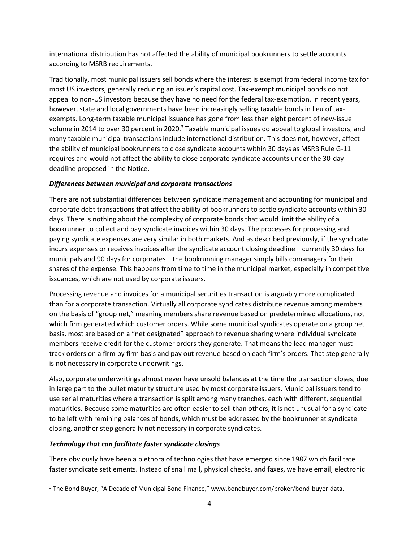international distribution has not affected the ability of municipal bookrunners to settle accounts according to MSRB requirements.

Traditionally, most municipal issuers sell bonds where the interest is exempt from federal income tax for most US investors, generally reducing an issuer's capital cost. Tax-exempt municipal bonds do not appeal to non-US investors because they have no need for the federal tax-exemption. In recent years, however, state and local governments have been increasingly selling taxable bonds in lieu of taxexempts. Long-term taxable municipal issuance has gone from less than eight percent of new-issue volume in 2014 to over 30 percent in 2020.<sup>3</sup> Taxable municipal issues do appeal to global investors, and many taxable municipal transactions include international distribution. This does not, however, affect the ability of municipal bookrunners to close syndicate accounts within 30 days as MSRB Rule G-11 requires and would not affect the ability to close corporate syndicate accounts under the 30-day deadline proposed in the Notice.

# *Differences between municipal and corporate transactions*

There are not substantial differences between syndicate management and accounting for municipal and corporate debt transactions that affect the ability of bookrunners to settle syndicate accounts within 30 days. There is nothing about the complexity of corporate bonds that would limit the ability of a bookrunner to collect and pay syndicate invoices within 30 days. The processes for processing and paying syndicate expenses are very similar in both markets. And as described previously, if the syndicate incurs expenses or receives invoices after the syndicate account closing deadline—currently 30 days for municipals and 90 days for corporates—the bookrunning manager simply bills comanagers for their shares of the expense. This happens from time to time in the municipal market, especially in competitive issuances, which are not used by corporate issuers.

Processing revenue and invoices for a municipal securities transaction is arguably more complicated than for a corporate transaction. Virtually all corporate syndicates distribute revenue among members on the basis of "group net," meaning members share revenue based on predetermined allocations, not which firm generated which customer orders. While some municipal syndicates operate on a group net basis, most are based on a "net designated" approach to revenue sharing where individual syndicate members receive credit for the customer orders they generate. That means the lead manager must track orders on a firm by firm basis and pay out revenue based on each firm's orders. That step generally is not necessary in corporate underwritings.

Also, corporate underwritings almost never have unsold balances at the time the transaction closes, due in large part to the bullet maturity structure used by most corporate issuers. Municipal issuers tend to use serial maturities where a transaction is split among many tranches, each with different, sequential maturities. Because some maturities are often easier to sell than others, it is not unusual for a syndicate to be left with remining balances of bonds, which must be addressed by the bookrunner at syndicate closing, another step generally not necessary in corporate syndicates.

# *Technology that can facilitate faster syndicate closings*

There obviously have been a plethora of technologies that have emerged since 1987 which facilitate faster syndicate settlements. Instead of snail mail, physical checks, and faxes, we have email, electronic

<sup>&</sup>lt;sup>3</sup> The Bond Buyer, "A Decade of Municipal Bond Finance," www.bondbuyer.com/broker/bond-buyer-data.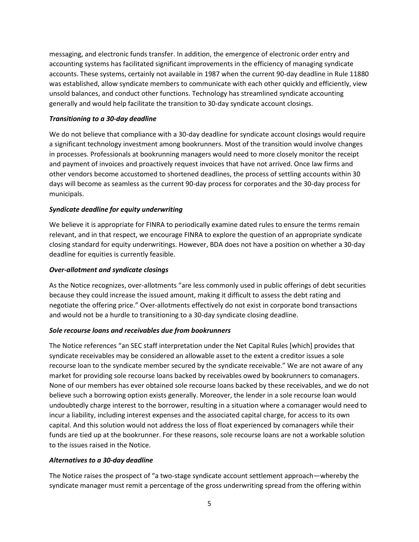messaging, and electronic funds transfer. In addition, the emergence of electronic order entry and accounting systems has facilitated significant improvements in the efficiency of managing syndicate accounts. These systems, certainly not available in 1987 when the current 90-day deadline in Rule 11880 was established, allow syndicate members to communicate with each other quickly and efficiently, view unsold balances, and conduct other functions. Technology has streamlined syndicate accounting generally and would help facilitate the transition to 30-day syndicate account closings.

## *Transitioning to a 30-day deadline*

We do not believe that compliance with a 30-day deadline for syndicate account closings would require a significant technology investment among bookrunners. Most of the transition would involve changes in processes. Professionals at bookrunning managers would need to more closely monitor the receipt and payment of invoices and proactively request invoices that have not arrived. Once law firms and other vendors become accustomed to shortened deadlines, the process of settling accounts within 30 days will become as seamless as the current 90-day process for corporates and the 30-day process for municipals.

## *Syndicate deadline for equity underwriting*

We believe it is appropriate for FINRA to periodically examine dated rules to ensure the terms remain relevant, and in that respect, we encourage FINRA to explore the question of an appropriate syndicate closing standard for equity underwritings. However, BDA does not have a position on whether a 30-day deadline for equities is currently feasible.

### *Over-allotment and syndicate closings*

As the Notice recognizes, over-allotments "are less commonly used in public offerings of debt securities because they could increase the issued amount, making it difficult to assess the debt rating and negotiate the offering price." Over-allotments effectively do not exist in corporate bond transactions and would not be a hurdle to transitioning to a 30-day syndicate closing deadline.

### *Sole recourse loans and receivables due from bookrunners*

The Notice references "an SEC staff interpretation under the Net Capital Rules [which] provides that syndicate receivables may be considered an allowable asset to the extent a creditor issues a sole recourse loan to the syndicate member secured by the syndicate receivable." We are not aware of any market for providing sole recourse loans backed by receivables owed by bookrunners to comanagers. None of our members has ever obtained sole recourse loans backed by these receivables, and we do not believe such a borrowing option exists generally. Moreover, the lender in a sole recourse loan would undoubtedly charge interest to the borrower, resulting in a situation where a comanager would need to incur a liability, including interest expenses and the associated capital charge, for access to its own capital. And this solution would not address the loss of float experienced by comanagers while their funds are tied up at the bookrunner. For these reasons, sole recourse loans are not a workable solution to the issues raised in the Notice.

### *Alternatives to a 30-day deadline*

The Notice raises the prospect of "a two-stage syndicate account settlement approach—whereby the syndicate manager must remit a percentage of the gross underwriting spread from the offering within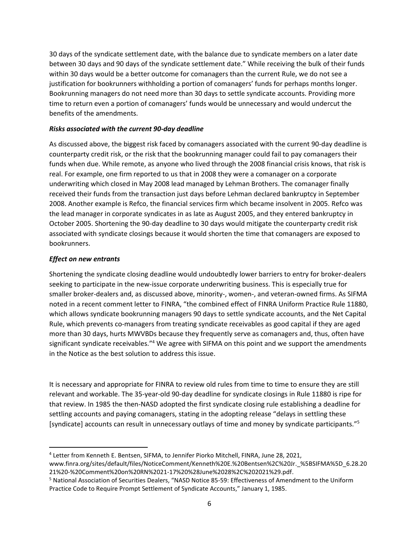30 days of the syndicate settlement date, with the balance due to syndicate members on a later date between 30 days and 90 days of the syndicate settlement date." While receiving the bulk of their funds within 30 days would be a better outcome for comanagers than the current Rule, we do not see a justification for bookrunners withholding a portion of comanagers' funds for perhaps months longer. Bookrunning managers do not need more than 30 days to settle syndicate accounts. Providing more time to return even a portion of comanagers' funds would be unnecessary and would undercut the benefits of the amendments.

### *Risks associated with the current 90-day deadline*

As discussed above, the biggest risk faced by comanagers associated with the current 90-day deadline is counterparty credit risk, or the risk that the bookrunning manager could fail to pay comanagers their funds when due. While remote, as anyone who lived through the 2008 financial crisis knows, that risk is real. For example, one firm reported to us that in 2008 they were a comanager on a corporate underwriting which closed in May 2008 lead managed by Lehman Brothers. The comanager finally received their funds from the transaction just days before Lehman declared bankruptcy in September 2008. Another example is Refco, the financial services firm which became insolvent in 2005. Refco was the lead manager in corporate syndicates in as late as August 2005, and they entered bankruptcy in October 2005. Shortening the 90-day deadline to 30 days would mitigate the counterparty credit risk associated with syndicate closings because it would shorten the time that comanagers are exposed to bookrunners.

## *Effect on new entrants*

Shortening the syndicate closing deadline would undoubtedly lower barriers to entry for broker-dealers seeking to participate in the new-issue corporate underwriting business. This is especially true for smaller broker-dealers and, as discussed above, minority-, women-, and veteran-owned firms. As SIFMA noted in a recent comment letter to FINRA, "the combined effect of FINRA Uniform Practice Rule 11880, which allows syndicate bookrunning managers 90 days to settle syndicate accounts, and the Net Capital Rule, which prevents co-managers from treating syndicate receivables as good capital if they are aged more than 30 days, hurts MWVBDs because they frequently serve as comanagers and, thus, often have significant syndicate receivables."<sup>4</sup> We agree with SIFMA on this point and we support the amendments in the Notice as the best solution to address this issue.

It is necessary and appropriate for FINRA to review old rules from time to time to ensure they are still relevant and workable. The 35-year-old 90-day deadline for syndicate closings in Rule 11880 is ripe for that review. In 1985 the then-NASD adopted the first syndicate closing rule establishing a deadline for settling accounts and paying comanagers, stating in the adopting release "delays in settling these [syndicate] accounts can result in unnecessary outlays of time and money by syndicate participants." 5

<sup>4</sup> Letter from Kenneth E. Bentsen, SIFMA, to Jennifer Piorko Mitchell, FINRA, June 28, 2021, www.finra.org/sites/default/files/NoticeComment/Kenneth%20E.%20Bentsen%2C%20Jr.\_%5BSIFMA%5D\_6.28.20 21%20-%20Comment%20on%20RN%2021-17%20%28June%2028%2C%202021%29.pdf.

<sup>5</sup> National Association of Securities Dealers, "NASD Notice 85-59: Effectiveness of Amendment to the Uniform Practice Code to Require Prompt Settlement of Syndicate Accounts," January 1, 1985.